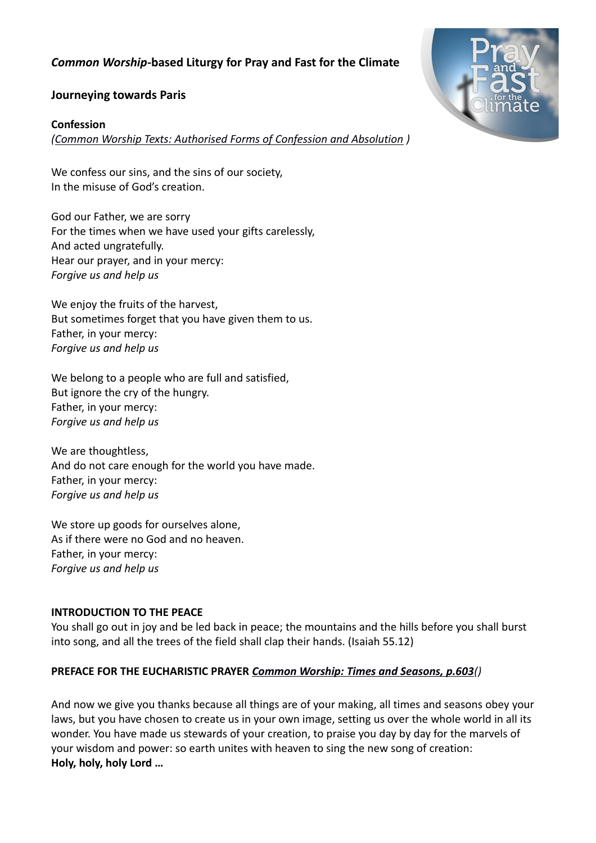# *Common Worship***-based Liturgy for Pray and Fast for the Climate**



#### **Journeying towards Paris**

#### **Confession**

*[\(Common Worship Texts: Authorised Forms of Confession and Absolution](http://bit.ly/1DLeOdd) )*

We confess our sins, and the sins of our society, In the misuse of God's creation.

God our Father, we are sorry For the times when we have used your gifts carelessly, And acted ungratefully. Hear our prayer, and in your mercy: *Forgive us and help us*

We enjoy the fruits of the harvest, But sometimes forget that you have given them to us. Father, in your mercy: *Forgive us and help us*

We belong to a people who are full and satisfied, But ignore the cry of the hungry. Father, in your mercy: *Forgive us and help us*

We are thoughtless, And do not care enough for the world you have made. Father, in your mercy: *Forgive us and help us*

We store up goods for ourselves alone, As if there were no God and no heaven. Father, in your mercy: *Forgive us and help us*

#### **INTRODUCTION TO THE PEACE**

You shall go out in joy and be led back in peace; the mountains and the hills before you shall burst into song, and all the trees of the field shall clap their hands. (Isaiah 55.12)

### **PREFACE FOR THE EUCHARISTIC PRAYER** *[Common Worship: Times and Seasons, p.603](http://bit.ly/1LHtw7e)()*

And now we give you thanks because all things are of your making, all times and seasons obey your laws, but you have chosen to create us in your own image, setting us over the whole world in all its wonder. You have made us stewards of your creation, to praise you day by day for the marvels of your wisdom and power: so earth unites with heaven to sing the new song of creation: **Holy, holy, holy Lord …**